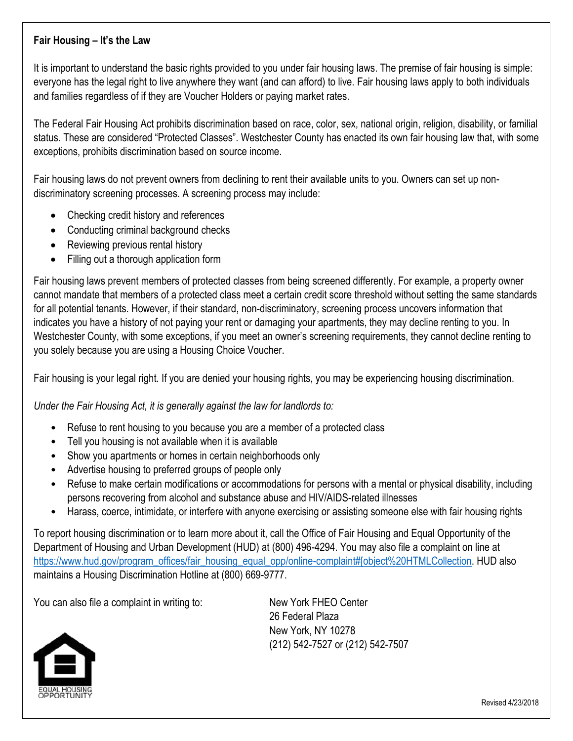# **Fair Housing – It's the Law**

It is important to understand the basic rights provided to you under fair housing laws. The premise of fair housing is simple: everyone has the legal right to live anywhere they want (and can afford) to live. Fair housing laws apply to both individuals and families regardless of if they are Voucher Holders or paying market rates.

The Federal Fair Housing Act prohibits discrimination based on race, color, sex, national origin, religion, disability, or familial status. These are considered "Protected Classes". Westchester County has enacted its own fair housing law that, with some exceptions, prohibits discrimination based on source income.

Fair housing laws do not prevent owners from declining to rent their available units to you. Owners can set up nondiscriminatory screening processes. A screening process may include:

- Checking credit history and references
- Conducting criminal background checks
- Reviewing previous rental history
- Filling out a thorough application form

Fair housing laws prevent members of protected classes from being screened differently. For example, a property owner cannot mandate that members of a protected class meet a certain credit score threshold without setting the same standards for all potential tenants. However, if their standard, non-discriminatory, screening process uncovers information that indicates you have a history of not paying your rent or damaging your apartments, they may decline renting to you. In Westchester County, with some exceptions, if you meet an owner's screening requirements, they cannot decline renting to you solely because you are using a Housing Choice Voucher.

Fair housing is your legal right. If you are denied your housing rights, you may be experiencing housing discrimination.

# *Under the Fair Housing Act, it is generally against the law for landlords to:*

- Refuse to rent housing to you because you are a member of a protected class
- Tell you housing is not available when it is available
- Show you apartments or homes in certain neighborhoods only
- Advertise housing to preferred groups of people only
- Refuse to make certain modifications or accommodations for persons with a mental or physical disability, including persons recovering from alcohol and substance abuse and HIV/AIDS-related illnesses
- Harass, coerce, intimidate, or interfere with anyone exercising or assisting someone else with fair housing rights

To report housing discrimination or to learn more about it, call the Office of Fair Housing and Equal Opportunity of the Department of Housing and Urban Development (HUD) at (800) 496-4294. You may also file a complaint on line at [https://www.hud.gov/program\\_offices/fair\\_housing\\_equal\\_opp/online-complaint#\[object%20HTMLCollection.](https://www.hud.gov/program_offices/fair_housing_equal_opp/online-complaint#[object%20HTMLCollection) HUD also maintains a Housing Discrimination Hotline at (800) 669-9777.

You can also file a complaint in writing to: New York FHEO Center

26 Federal Plaza New York, NY 10278 (212) 542-7527 or (212) 542-7507



Revised 4/23/2018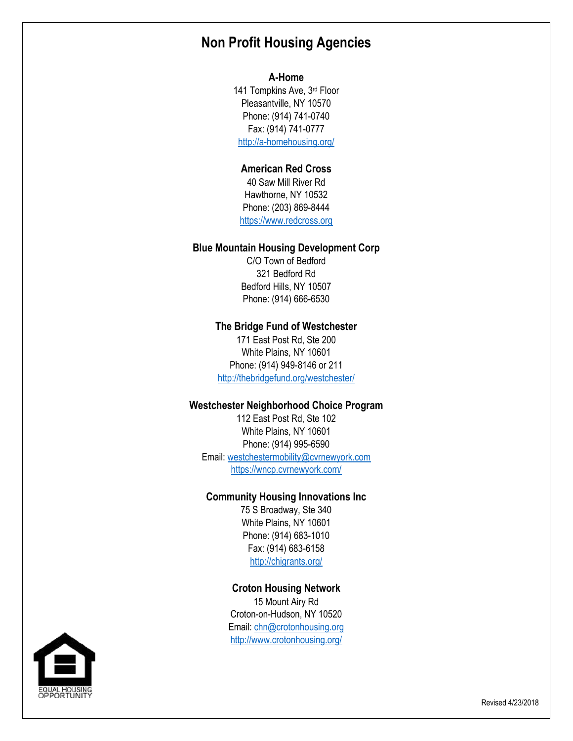# **Non Profit Housing Agencies**

### **A-Home**

141 Tompkins Ave, 3rd Floor Pleasantville, NY 10570 Phone: (914) 741-0740 Fax: (914) 741-0777 <http://a-homehousing.org/>

# **American Red Cross**

40 Saw Mill River Rd Hawthorne, NY 10532 Phone: (203) 869-8444 [https://www.redcross.org](https://www.redcross.org/)

### **Blue Mountain Housing Development Corp**

C/O Town of Bedford 321 Bedford Rd Bedford Hills, NY 10507 Phone: (914) 666-6530

#### **The Bridge Fund of Westchester**

171 East Post Rd, Ste 200 White Plains, NY 10601 Phone: (914) 949-8146 or 211 <http://thebridgefund.org/westchester/>

#### **Westchester Neighborhood Choice Program**

112 East Post Rd, Ste 102 White Plains, NY 10601 Phone: (914) 995-6590 Email: [westchestermobility@cvrnewyork.com](mailto:westchestermobility@cvrnewyork.com) <https://wncp.cvrnewyork.com/>

### **Community Housing Innovations Inc**

75 S Broadway, Ste 340 White Plains, NY 10601 Phone: (914) 683-1010 Fax: (914) 683-6158 <http://chigrants.org/>

### **Croton Housing Network**

15 Mount Airy Rd Croton-on-Hudson, NY 10520 Email: [chn@crotonhousing.org](mailto:chn@crotonhousing.org) <http://www.crotonhousing.org/>

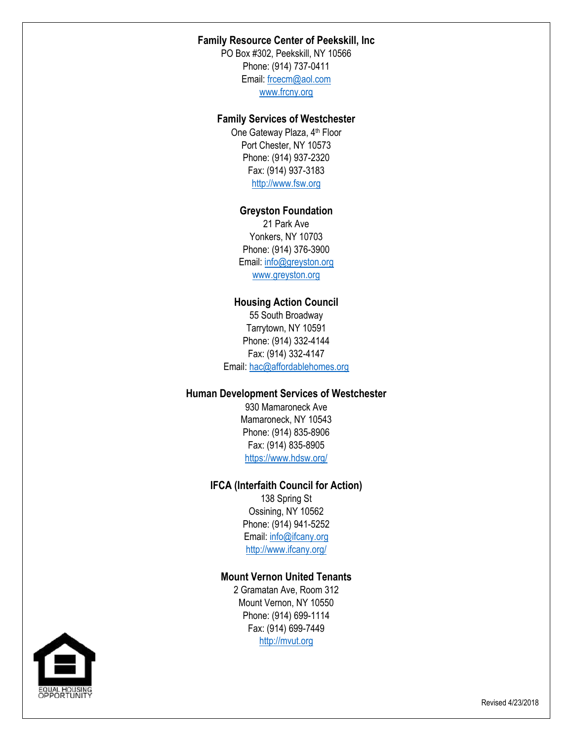# **Family Resource Center of Peekskill, Inc**

PO Box #302, Peekskill, NY 10566 Phone: (914) 737-0411 Email: [frcecm@aol.com](mailto:frcecm@aol.com) [www.frcny.org](http://www.frcny.org/)

### **Family Services of Westchester**

One Gateway Plaza, 4<sup>th</sup> Floor Port Chester, NY 10573 Phone: (914) 937-2320 Fax: (914) 937-3183 [http://www.fsw.org](http://www.fsw.org/)

# **Greyston Foundation**

21 Park Ave Yonkers, NY 10703 Phone: (914) 376-3900 Email: [info@greyston.org](mailto:info@greyston.org) [www.greyston.org](http://www.greyston.org/)

### **Housing Action Council**

55 South Broadway Tarrytown, NY 10591 Phone: (914) 332-4144 Fax: (914) 332-4147 Email[: hac@affordablehomes.org](mailto:hac@affordablehomes.org)

# **Human Development Services of Westchester**

930 Mamaroneck Ave Mamaroneck, NY 10543 Phone: (914) 835-8906 Fax: (914) 835-8905 <https://www.hdsw.org/>

# **IFCA (Interfaith Council for Action)**

138 Spring St Ossining, NY 10562 Phone: (914) 941-5252 Email: [info@ifcany.org](mailto:info@ifcany.org) <http://www.ifcany.org/>

# **Mount Vernon United Tenants**

2 Gramatan Ave, Room 312 Mount Vernon, NY 10550 Phone: (914) 699-1114 Fax: (914) 699-7449 [http://mvut.org](http://mvut.org/)

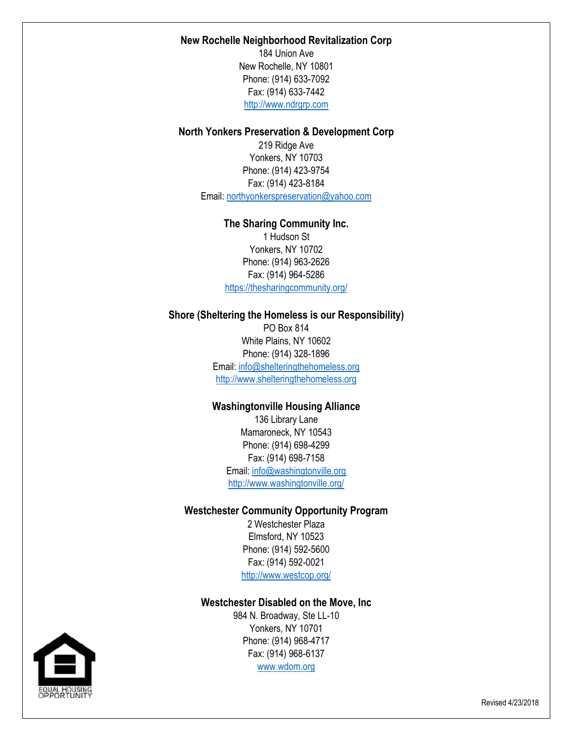### **New Rochelle Neighborhood Revitalization Corp**

184 Union Ave New Rochelle, NY 10801 Phone: (914) 633-7092 Fax: (914) 633-7442 [http://www.ndrgrp.com](http://www.ndrgrp.com/)

### **North Yonkers Preservation & Development Corp**

219 Ridge Ave Yonkers, NY 10703 Phone: (914) 423-9754 Fax: (914) 423-8184 Email: [northyonkerspreservation@yahoo.com](mailto:northyonkerspreservation@yahoo.com)

# **The Sharing Community Inc.**

1 Hudson St Yonkers, NY 10702 Phone: (914) 963-2626 Fax: (914) 964-5286 <https://thesharingcommunity.org/>

### **Shore (Sheltering the Homeless is our Responsibility)**

PO Box 814 White Plains, NY 10602 Phone: (914) 328-1896 Email: [info@shelteringthehomeless.org](mailto:info@shelteringthehomeless.org) [http://www.shelteringthehomeless.org](http://www.shelteringthehomeless.org/)

# **Washingtonville Housing Alliance**

136 Library Lane Mamaroneck, NY 10543 Phone: (914) 698-4299 Fax: (914) 698-7158 Email[: info@washingtonville.org](mailto:info@washingtonville.org) <http://www.washingtonville.org/>

### **Westchester Community Opportunity Program**

2 Westchester Plaza Elmsford, NY 10523 Phone: (914) 592-5600 Fax: (914) 592-0021 <http://www.westcop.org/>

### **Westchester Disabled on the Move, Inc**

984 N. Broadway, Ste LL-10 Yonkers, NY 10701 Phone: (914) 968-4717 Fax: (914) 968-6137 [www.wdom.org](http://www.wdom.org/)

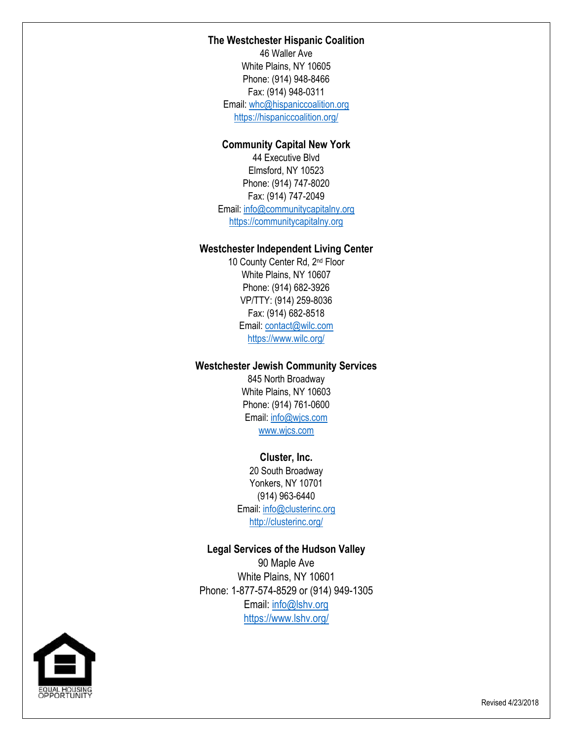### **The Westchester Hispanic Coalition**

46 Waller Ave White Plains, NY 10605 Phone: (914) 948-8466 Fax: (914) 948-0311 Email: [whc@hispaniccoalition.org](mailto:whc@hispaniccoalition.org) <https://hispaniccoalition.org/>

# **Community Capital New York**

44 Executive Blvd Elmsford, NY 10523 Phone: (914) 747-8020 Fax: (914) 747-2049 Email[: info@communitycapitalny.org](mailto:info@communitycapitalny.org) [https://communitycapitalny.org](https://communitycapitalny.org/)

# **Westchester Independent Living Center**

10 County Center Rd, 2nd Floor White Plains, NY 10607 Phone: (914) 682-3926 VP/TTY: (914) 259-8036 Fax: (914) 682-8518 Email: [contact@wilc.com](mailto:contact@wilc.com) <https://www.wilc.org/>

## **Westchester Jewish Community Services**

845 North Broadway White Plains, NY 10603 Phone: (914) 761-0600 Email: [info@wjcs.com](mailto:info@wjcs.com) [www.wjcs.com](http://www.wjcs.com/)

### **Cluster, Inc.**

20 South Broadway Yonkers, NY 10701 (914) 963-6440 Email: [info@clusterinc.org](mailto:info@clusterinc.org) <http://clusterinc.org/>

### **Legal Services of the Hudson Valley**

90 Maple Ave White Plains, NY 10601 Phone: 1-877-574-8529 or (914) 949-1305 Email: [info@lshv.org](mailto:info@lshv.org) <https://www.lshv.org/>

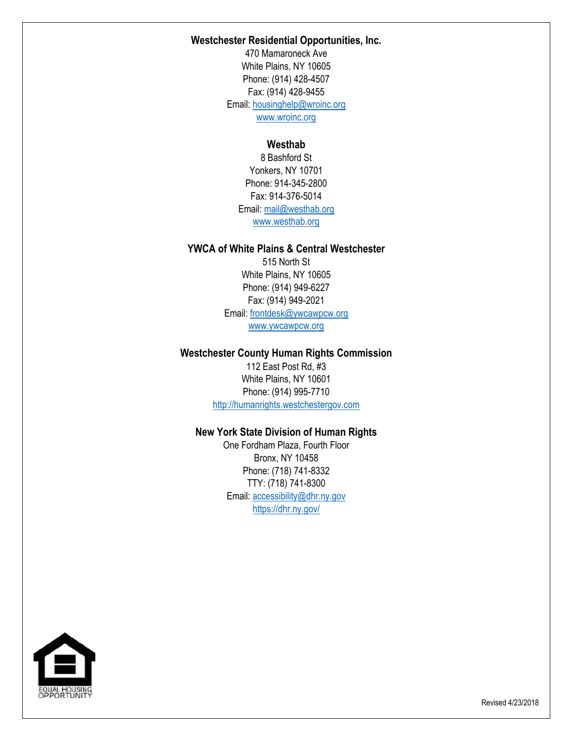### **Westchester Residential Opportunities, Inc.**

470 Mamaroneck Ave White Plains, NY 10605 Phone: (914) 428-4507 Fax: (914) 428-9455 Email: [housinghelp@wroinc.org](mailto:housinghelp@wroinc.org) [www.wroinc.org](http://www.wroinc.org/)

# **Westhab**

8 Bashford St Yonkers, NY 10701 Phone: 914-345-2800 Fax: 914-376-5014 Email: [mail@westhab.org](mailto:mail@westhab.org) [www.westhab.org](http://www.westhab.org/)

# **YWCA of White Plains & Central Westchester**

515 North St White Plains, NY 10605 Phone: (914) 949-6227 Fax: (914) 949-2021 Email: [frontdesk@ywcawpcw.org](mailto:frontdesk@ywcawpcw.org) [www.ywcawpcw.org](http://www.ywcawpcw.org/)

### **Westchester County Human Rights Commission**

112 East Post Rd, #3 White Plains, NY 10601 Phone: (914) 995-7710 [http://humanrights.westchestergov.com](http://humanrights.westchestergov.com/)

# **New York State Division of Human Rights**

One Fordham Plaza, Fourth Floor Bronx, NY 10458 Phone: (718) 741-8332 TTY: (718) 741-8300 Email: [accessibility@dhr.ny.gov](mailto:accessibility@dhr.ny.gov) <https://dhr.ny.gov/>



Revised 4/23/2018